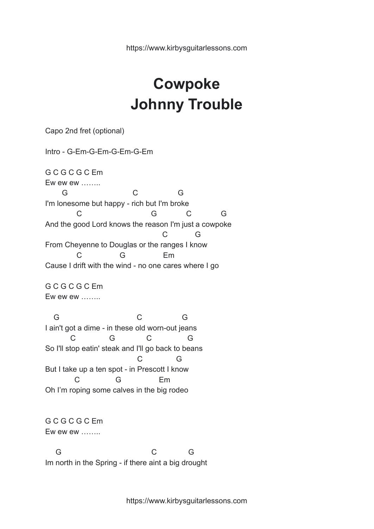## **Cowpoke Johnny Trouble**

Capo 2nd fret (optional) Intro - G-Em-G-Em-G-Em-G-Em G C G C G C Em Ew ew ew …….. G C G I'm lonesome but happy - rich but I'm broke C G C G And the good Lord knows the reason I'm just a cowpoke C G From Cheyenne to Douglas or the ranges I know C G Em Cause I drift with the wind - no one cares where I go G C G C G C Em Ew ew ew …….. G C G I ain't got a dime - in these old worn-out jeans C G C G So I'll stop eatin' steak and I'll go back to beans C G But I take up a ten spot - in Prescott I know C G Em Oh I'm roping some calves in the big rodeo G C G C G C Em Ew ew ew …….. G C G Im north in the Spring - if there aint a big drought